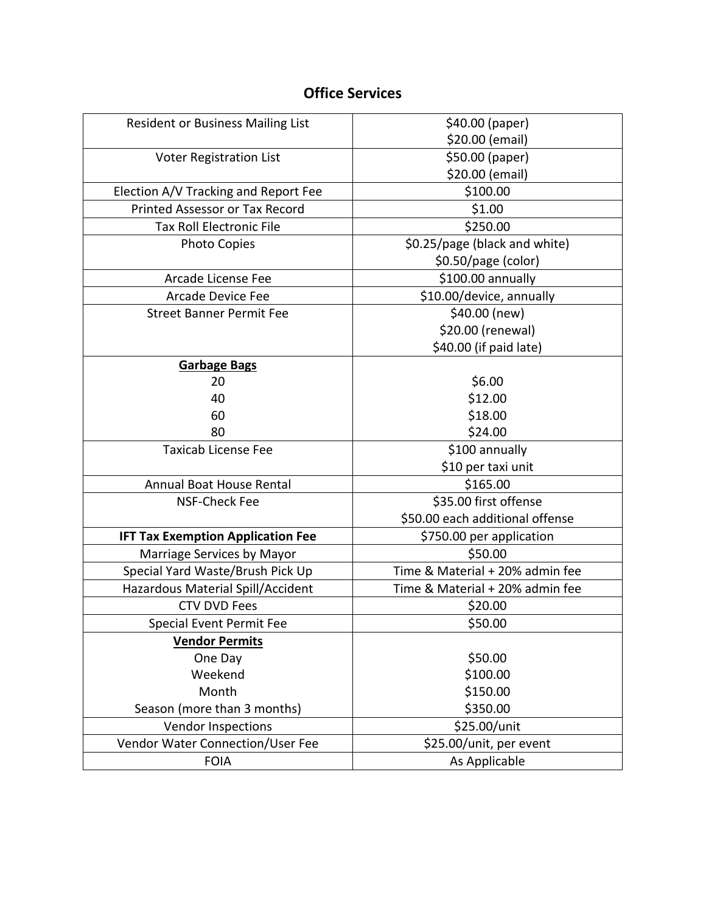#### **Office Services**

| <b>Resident or Business Mailing List</b> | \$40.00 (paper)                 |
|------------------------------------------|---------------------------------|
|                                          | \$20.00 (email)                 |
| <b>Voter Registration List</b>           | \$50.00 (paper)                 |
|                                          | \$20.00 (email)                 |
| Election A/V Tracking and Report Fee     | \$100.00                        |
| <b>Printed Assessor or Tax Record</b>    | \$1.00                          |
| <b>Tax Roll Electronic File</b>          | \$250.00                        |
| <b>Photo Copies</b>                      | \$0.25/page (black and white)   |
|                                          | \$0.50/page (color)             |
| Arcade License Fee                       | \$100.00 annually               |
| <b>Arcade Device Fee</b>                 | \$10.00/device, annually        |
| <b>Street Banner Permit Fee</b>          | \$40.00 (new)                   |
|                                          | \$20.00 (renewal)               |
|                                          | \$40.00 (if paid late)          |
| <b>Garbage Bags</b>                      |                                 |
| 20                                       | \$6.00                          |
| 40                                       | \$12.00                         |
| 60                                       | \$18.00                         |
| 80                                       | \$24.00                         |
| <b>Taxicab License Fee</b>               | \$100 annually                  |
|                                          | \$10 per taxi unit              |
| Annual Boat House Rental                 | \$165.00                        |
| NSF-Check Fee                            | \$35.00 first offense           |
|                                          | \$50.00 each additional offense |
| <b>IFT Tax Exemption Application Fee</b> | \$750.00 per application        |
| Marriage Services by Mayor               | \$50.00                         |
| Special Yard Waste/Brush Pick Up         | Time & Material + 20% admin fee |
| Hazardous Material Spill/Accident        | Time & Material + 20% admin fee |
| <b>CTV DVD Fees</b>                      | \$20.00                         |
| <b>Special Event Permit Fee</b>          | \$50.00                         |
| <b>Vendor Permits</b>                    |                                 |
| One Day                                  | \$50.00                         |
| Weekend                                  | \$100.00                        |
| Month                                    | \$150.00                        |
| Season (more than 3 months)              | \$350.00                        |
| <b>Vendor Inspections</b>                | \$25.00/unit                    |
| Vendor Water Connection/User Fee         | \$25.00/unit, per event         |
| <b>FOIA</b>                              | As Applicable                   |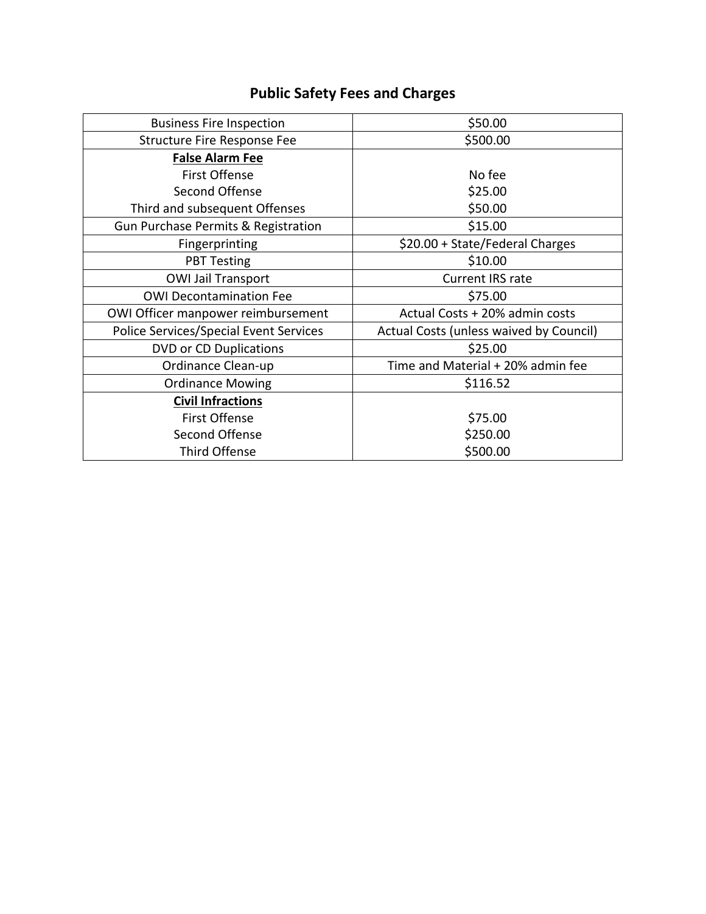# **Public Safety Fees and Charges**

| <b>Business Fire Inspection</b>               | \$50.00                                 |
|-----------------------------------------------|-----------------------------------------|
| Structure Fire Response Fee                   | \$500.00                                |
| <b>False Alarm Fee</b>                        |                                         |
| <b>First Offense</b>                          | No fee                                  |
| Second Offense                                | \$25.00                                 |
| Third and subsequent Offenses                 | \$50.00                                 |
| Gun Purchase Permits & Registration           | \$15.00                                 |
| Fingerprinting                                | \$20.00 + State/Federal Charges         |
| <b>PBT Testing</b>                            | \$10.00                                 |
| <b>OWI Jail Transport</b>                     | <b>Current IRS rate</b>                 |
| <b>OWI Decontamination Fee</b>                | \$75.00                                 |
| OWI Officer manpower reimbursement            | Actual Costs + 20% admin costs          |
| <b>Police Services/Special Event Services</b> | Actual Costs (unless waived by Council) |
| <b>DVD or CD Duplications</b>                 | \$25.00                                 |
| Ordinance Clean-up                            | Time and Material + 20% admin fee       |
| <b>Ordinance Mowing</b>                       | \$116.52                                |
| <b>Civil Infractions</b>                      |                                         |
| First Offense                                 | \$75.00                                 |
| Second Offense                                | \$250.00                                |
| Third Offense                                 | \$500.00                                |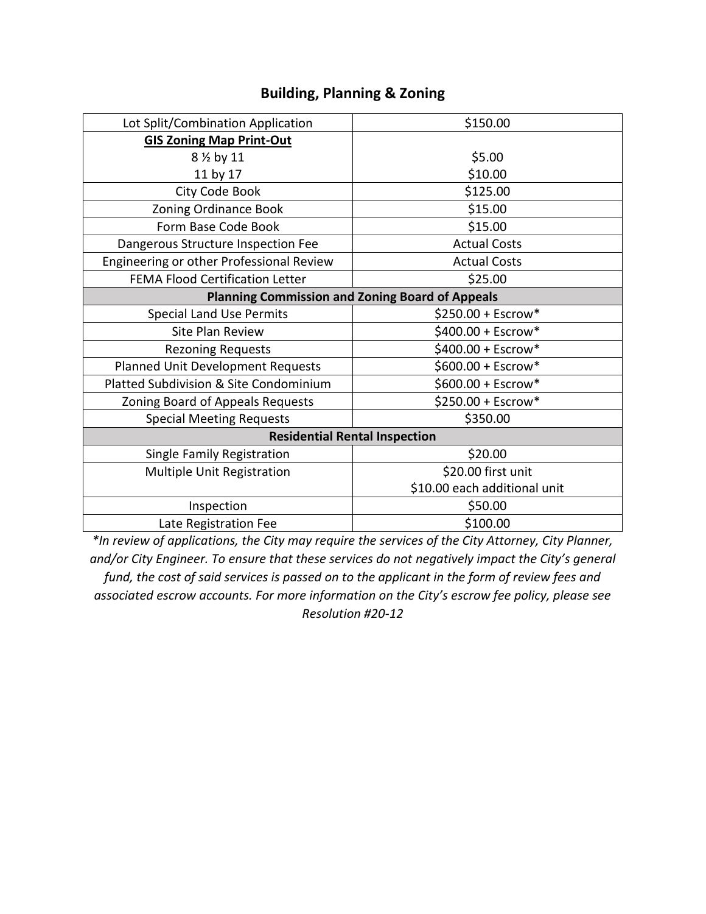| \$150.00                                               |
|--------------------------------------------------------|
|                                                        |
| \$5.00                                                 |
| \$10.00                                                |
| \$125.00                                               |
| \$15.00                                                |
| \$15.00                                                |
| <b>Actual Costs</b>                                    |
| <b>Actual Costs</b>                                    |
| \$25.00                                                |
| <b>Planning Commission and Zoning Board of Appeals</b> |
| $$250.00 + Escrow*$                                    |
| $$400.00 + Escrow*$                                    |
| \$400.00 + Escrow*                                     |
| $$600.00 + Escrow*$                                    |
| \$600.00 + Escrow*                                     |
| \$250.00 + Escrow*                                     |
| \$350.00                                               |
| <b>Residential Rental Inspection</b>                   |
| \$20.00                                                |
| \$20.00 first unit                                     |
| \$10.00 each additional unit                           |
| \$50.00                                                |
| \$100.00                                               |
|                                                        |

#### **Building, Planning & Zoning**

*\*In review of applications, the City may require the services of the City Attorney, City Planner, and/or City Engineer. To ensure that these services do not negatively impact the City's general fund, the cost of said services is passed on to the applicant in the form of review fees and associated escrow accounts. For more information on the City's escrow fee policy, please see Resolution #20-12*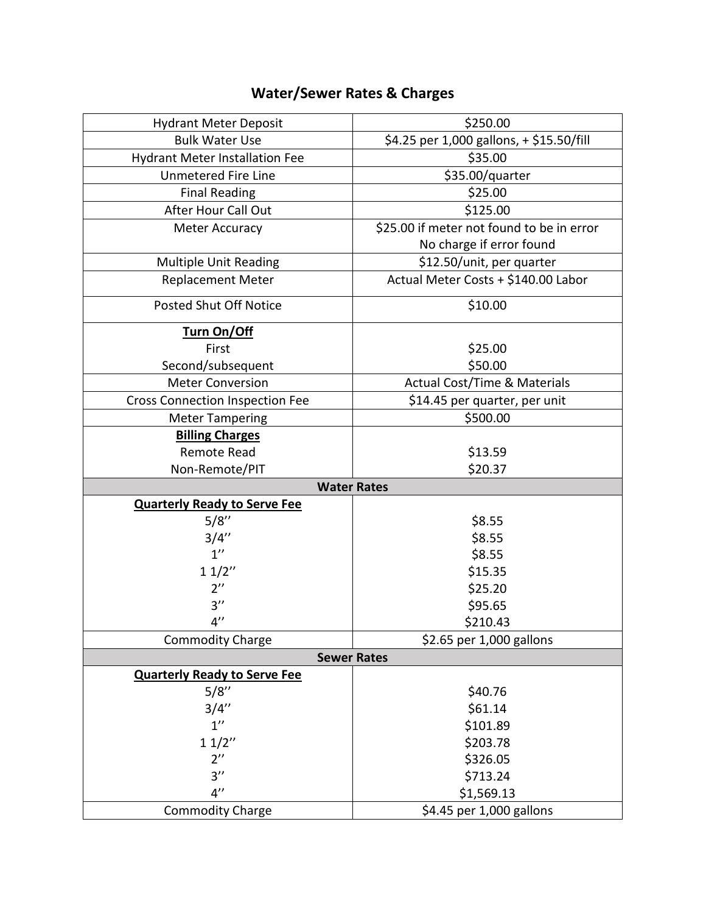# **Water/Sewer Rates & Charges**

| <b>Hydrant Meter Deposit</b>           | \$250.00                                  |
|----------------------------------------|-------------------------------------------|
| <b>Bulk Water Use</b>                  | \$4.25 per 1,000 gallons, + \$15.50/fill  |
| <b>Hydrant Meter Installation Fee</b>  | \$35.00                                   |
| <b>Unmetered Fire Line</b>             | \$35.00/quarter                           |
| <b>Final Reading</b>                   | \$25.00                                   |
| After Hour Call Out                    | \$125.00                                  |
| <b>Meter Accuracy</b>                  | \$25.00 if meter not found to be in error |
|                                        | No charge if error found                  |
| <b>Multiple Unit Reading</b>           | \$12.50/unit, per quarter                 |
| <b>Replacement Meter</b>               | Actual Meter Costs + \$140.00 Labor       |
| <b>Posted Shut Off Notice</b>          | \$10.00                                   |
| Turn On/Off                            |                                           |
| First                                  | \$25.00                                   |
| Second/subsequent                      | \$50.00                                   |
| <b>Meter Conversion</b>                | <b>Actual Cost/Time &amp; Materials</b>   |
| <b>Cross Connection Inspection Fee</b> | \$14.45 per quarter, per unit             |
| <b>Meter Tampering</b>                 | \$500.00                                  |
| <b>Billing Charges</b>                 |                                           |
| Remote Read                            | \$13.59                                   |
| Non-Remote/PIT                         | \$20.37                                   |
| <b>Water Rates</b>                     |                                           |
| <b>Quarterly Ready to Serve Fee</b>    |                                           |
| 5/8''                                  | \$8.55                                    |
| 3/4''                                  | \$8.55                                    |
| $1^{\prime\prime}$                     | \$8.55                                    |
| 11/2"                                  | \$15.35                                   |
| $2^{\prime\prime}$                     | \$25.20                                   |
| 3''                                    | \$95.65                                   |
| $4^{\prime\prime}$                     | \$210.43                                  |
| <b>Commodity Charge</b>                | \$2.65 per 1,000 gallons                  |
| <b>Sewer Rates</b>                     |                                           |
| <b>Quarterly Ready to Serve Fee</b>    |                                           |
| 5/8''                                  | \$40.76                                   |
| 3/4''                                  | \$61.14                                   |
| $1^{\prime\prime}$                     | \$101.89                                  |
| 11/2"                                  | \$203.78                                  |
| $2^{\prime\prime}$                     | \$326.05                                  |
| 3''                                    | \$713.24                                  |
| $4^{\prime\prime}$                     | \$1,569.13                                |
| <b>Commodity Charge</b>                | \$4.45 per 1,000 gallons                  |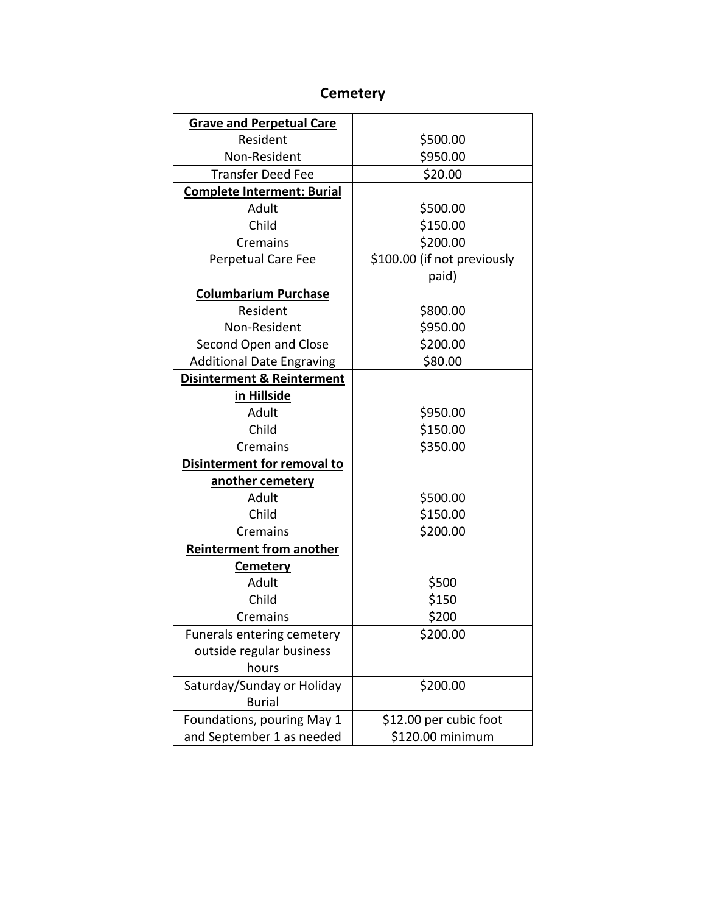| <b>Grave and Perpetual Care</b>       |                             |
|---------------------------------------|-----------------------------|
| Resident                              | \$500.00                    |
| Non-Resident                          | \$950.00                    |
| <b>Transfer Deed Fee</b>              | \$20.00                     |
|                                       |                             |
| <b>Complete Interment: Burial</b>     |                             |
| Adult                                 | \$500.00                    |
| Child                                 | \$150.00                    |
| Cremains                              | \$200.00                    |
| Perpetual Care Fee                    | \$100.00 (if not previously |
|                                       | paid)                       |
| <b>Columbarium Purchase</b>           |                             |
| Resident                              | \$800.00                    |
| Non-Resident                          | \$950.00                    |
| Second Open and Close                 | \$200.00                    |
| <b>Additional Date Engraving</b>      | \$80.00                     |
| <b>Disinterment &amp; Reinterment</b> |                             |
| in Hillside                           |                             |
| Adult                                 | \$950.00                    |
| Child                                 | \$150.00                    |
| Cremains                              | \$350.00                    |
| Disinterment for removal to           |                             |
| another cemetery                      |                             |
| Adult                                 | \$500.00                    |
| Child                                 | \$150.00                    |
| Cremains                              | \$200.00                    |
| <b>Reinterment from another</b>       |                             |
| <b>Cemetery</b>                       |                             |
| Adult                                 | \$500                       |
| Child                                 | \$150                       |
| Cremains                              | \$200                       |
| <b>Funerals entering cemetery</b>     | \$200.00                    |
| outside regular business              |                             |
| hours                                 |                             |
| Saturday/Sunday or Holiday            | \$200.00                    |
| <b>Burial</b>                         |                             |
| Foundations, pouring May 1            | \$12.00 per cubic foot      |
| and September 1 as needed             | \$120.00 minimum            |

#### **Cemetery**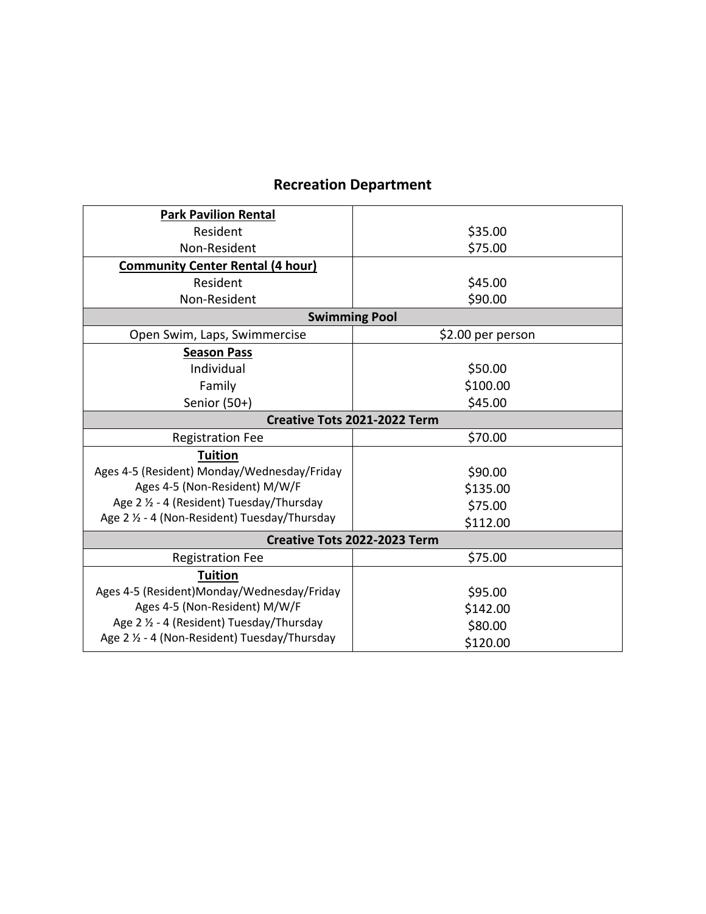| <b>Park Pavilion Rental</b>                   |                   |
|-----------------------------------------------|-------------------|
| Resident                                      | \$35.00           |
| Non-Resident                                  | \$75.00           |
| <b>Community Center Rental (4 hour)</b>       |                   |
| Resident                                      | \$45.00           |
| Non-Resident                                  | \$90.00           |
| <b>Swimming Pool</b>                          |                   |
| Open Swim, Laps, Swimmercise                  | \$2.00 per person |
| <b>Season Pass</b>                            |                   |
| Individual                                    | \$50.00           |
| Family                                        | \$100.00          |
| Senior $(50+)$                                | \$45.00           |
| Creative Tots 2021-2022 Term                  |                   |
| <b>Registration Fee</b>                       | \$70.00           |
| <b>Tuition</b>                                |                   |
| Ages 4-5 (Resident) Monday/Wednesday/Friday   | \$90.00           |
| Ages 4-5 (Non-Resident) M/W/F                 | \$135.00          |
| Age 2 1/2 - 4 (Resident) Tuesday/Thursday     | \$75.00           |
| Age 2 1/2 - 4 (Non-Resident) Tuesday/Thursday | \$112.00          |
| Creative Tots 2022-2023 Term                  |                   |
| <b>Registration Fee</b>                       | \$75.00           |
| <b>Tuition</b>                                |                   |
| Ages 4-5 (Resident)Monday/Wednesday/Friday    | \$95.00           |
| Ages 4-5 (Non-Resident) M/W/F                 | \$142.00          |
| Age 2 1/2 - 4 (Resident) Tuesday/Thursday     | \$80.00           |
| Age 2 1/2 - 4 (Non-Resident) Tuesday/Thursday | \$120.00          |

### **Recreation Department**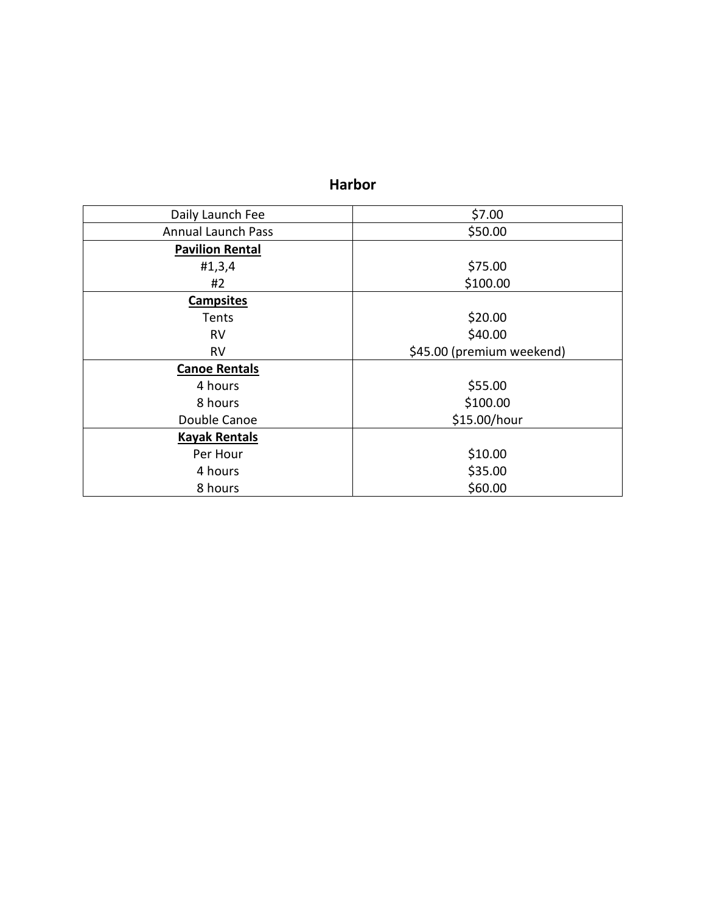#### **Harbor**

| Daily Launch Fee          | \$7.00                    |
|---------------------------|---------------------------|
| <b>Annual Launch Pass</b> | \$50.00                   |
| <b>Pavilion Rental</b>    |                           |
| #1,3,4                    | \$75.00                   |
| #2                        | \$100.00                  |
| <b>Campsites</b>          |                           |
| Tents                     | \$20.00                   |
| <b>RV</b>                 | \$40.00                   |
| <b>RV</b>                 | \$45.00 (premium weekend) |
| <b>Canoe Rentals</b>      |                           |
| 4 hours                   | \$55.00                   |
| 8 hours                   | \$100.00                  |
| Double Canoe              | \$15.00/hour              |
| <b>Kayak Rentals</b>      |                           |
| Per Hour                  | \$10.00                   |
| 4 hours                   | \$35.00                   |
| 8 hours                   | \$60.00                   |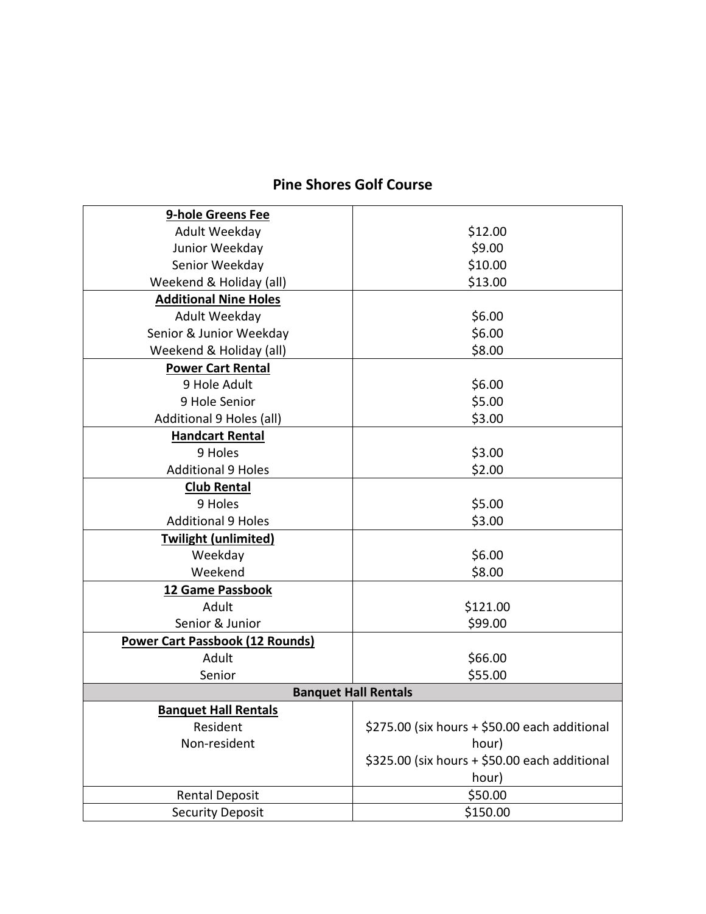### **Pine Shores Golf Course**

| 9-hole Greens Fee                      |                                               |
|----------------------------------------|-----------------------------------------------|
| Adult Weekday                          | \$12.00                                       |
| Junior Weekday                         | \$9.00                                        |
| Senior Weekday                         | \$10.00                                       |
| Weekend & Holiday (all)                | \$13.00                                       |
| <b>Additional Nine Holes</b>           |                                               |
| Adult Weekday                          | \$6.00                                        |
| Senior & Junior Weekday                | \$6.00                                        |
| Weekend & Holiday (all)                | \$8.00                                        |
| <b>Power Cart Rental</b>               |                                               |
| 9 Hole Adult                           | \$6.00                                        |
| 9 Hole Senior                          | \$5.00                                        |
| Additional 9 Holes (all)               | \$3.00                                        |
| <b>Handcart Rental</b>                 |                                               |
| 9 Holes                                | \$3.00                                        |
| <b>Additional 9 Holes</b>              | \$2.00                                        |
| <b>Club Rental</b>                     |                                               |
| 9 Holes                                | \$5.00                                        |
| <b>Additional 9 Holes</b>              | \$3.00                                        |
| <b>Twilight (unlimited)</b>            |                                               |
| Weekday                                | \$6.00                                        |
| Weekend                                | \$8.00                                        |
| 12 Game Passbook                       |                                               |
| Adult                                  | \$121.00                                      |
| Senior & Junior                        | \$99.00                                       |
| <b>Power Cart Passbook (12 Rounds)</b> |                                               |
| Adult                                  | \$66.00                                       |
| Senior                                 | \$55.00                                       |
|                                        | <b>Banquet Hall Rentals</b>                   |
| <b>Banquet Hall Rentals</b>            |                                               |
| Resident                               | \$275.00 (six hours + \$50.00 each additional |
| Non-resident                           | hour)                                         |
|                                        | \$325.00 (six hours + \$50.00 each additional |
|                                        | hour)                                         |
| <b>Rental Deposit</b>                  | \$50.00                                       |
| <b>Security Deposit</b>                | \$150.00                                      |